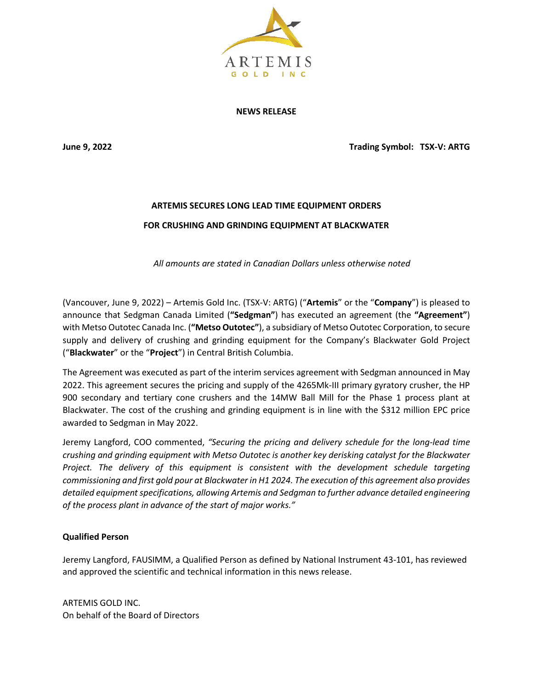

**NEWS RELEASE**

**June 9, 2022 Trading Symbol: TSX-V: ARTG**

## **ARTEMIS SECURES LONG LEAD TIME EQUIPMENT ORDERS FOR CRUSHING AND GRINDING EQUIPMENT AT BLACKWATER**

*All amounts are stated in Canadian Dollars unless otherwise noted*

(Vancouver, June 9, 2022) – Artemis Gold Inc. (TSX-V: ARTG) ("**Artemis**" or the "**Company**") is pleased to announce that Sedgman Canada Limited (**"Sedgman"**) has executed an agreement (the **"Agreement"**) with Metso Outotec Canada Inc. (**"Metso Outotec"**), a subsidiary of Metso Outotec Corporation, to secure supply and delivery of crushing and grinding equipment for the Company's Blackwater Gold Project ("**Blackwater**" or the "**Project**") in Central British Columbia.

The Agreement was executed as part of the interim services agreement with Sedgman announced in May 2022. This agreement secures the pricing and supply of the 4265Mk-III primary gyratory crusher, the HP 900 secondary and tertiary cone crushers and the 14MW Ball Mill for the Phase 1 process plant at Blackwater. The cost of the crushing and grinding equipment is in line with the \$312 million EPC price awarded to Sedgman in May 2022.

Jeremy Langford, COO commented, *"Securing the pricing and delivery schedule for the long-lead time crushing and grinding equipment with Metso Outotec is another key derisking catalyst for the Blackwater Project. The delivery of this equipment is consistent with the development schedule targeting commissioning and first gold pour at Blackwater in H1 2024. The execution of this agreement also provides detailed equipment specifications, allowing Artemis and Sedgman to further advance detailed engineering of the process plant in advance of the start of major works."*

## **Qualified Person**

Jeremy Langford, FAUSIMM, a Qualified Person as defined by National Instrument 43-101, has reviewed and approved the scientific and technical information in this news release.

ARTEMIS GOLD INC. On behalf of the Board of Directors